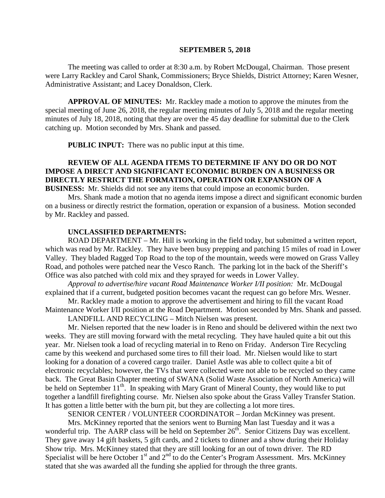#### **SEPTEMBER 5, 2018**

The meeting was called to order at 8:30 a.m. by Robert McDougal, Chairman. Those present were Larry Rackley and Carol Shank, Commissioners; Bryce Shields, District Attorney; Karen Wesner, Administrative Assistant; and Lacey Donaldson, Clerk.

**APPROVAL OF MINUTES:** Mr. Rackley made a motion to approve the minutes from the special meeting of June 26, 2018, the regular meeting minutes of July 5, 2018 and the regular meeting minutes of July 18, 2018, noting that they are over the 45 day deadline for submittal due to the Clerk catching up. Motion seconded by Mrs. Shank and passed.

 **PUBLIC INPUT:** There was no public input at this time.

# **REVIEW OF ALL AGENDA ITEMS TO DETERMINE IF ANY DO OR DO NOT IMPOSE A DIRECT AND SIGNIFICANT ECONOMIC BURDEN ON A BUSINESS OR DIRECTLY RESTRICT THE FORMATION, OPERATION OR EXPANSION OF A BUSINESS:** Mr. Shields did not see any items that could impose an economic burden.

Mrs. Shank made a motion that no agenda items impose a direct and significant economic burden on a business or directly restrict the formation, operation or expansion of a business. Motion seconded by Mr. Rackley and passed.

#### **UNCLASSIFIED DEPARTMENTS:**

 ROAD DEPARTMENT – Mr. Hill is working in the field today, but submitted a written report, which was read by Mr. Rackley. They have been busy prepping and patching 15 miles of road in Lower Valley. They bladed Ragged Top Road to the top of the mountain, weeds were mowed on Grass Valley Road, and potholes were patched near the Vesco Ranch. The parking lot in the back of the Sheriff's Office was also patched with cold mix and they sprayed for weeds in Lower Valley.

*Approval to advertise/hire vacant Road Maintenance Worker I/II position:* Mr. McDougal explained that if a current, budgeted position becomes vacant the request can go before Mrs. Wesner.

Mr. Rackley made a motion to approve the advertisement and hiring to fill the vacant Road Maintenance Worker I/II position at the Road Department. Motion seconded by Mrs. Shank and passed.

LANDFILL AND RECYCLING – Mitch Nielsen was present.

Mr. Nielsen reported that the new loader is in Reno and should be delivered within the next two weeks. They are still moving forward with the metal recycling. They have hauled quite a bit out this year. Mr. Nielsen took a load of recycling material in to Reno on Friday. Anderson Tire Recycling came by this weekend and purchased some tires to fill their load. Mr. Nielsen would like to start looking for a donation of a covered cargo trailer. Daniel Astle was able to collect quite a bit of electronic recyclables; however, the TVs that were collected were not able to be recycled so they came back. The Great Basin Chapter meeting of SWANA (Solid Waste Association of North America) will be held on September  $11<sup>th</sup>$ . In speaking with Mary Grant of Mineral County, they would like to put together a landfill firefighting course. Mr. Nielsen also spoke about the Grass Valley Transfer Station. It has gotten a little better with the burn pit, but they are collecting a lot more tires.

SENIOR CENTER / VOLUNTEER COORDINATOR – Jordan McKinney was present.

Mrs. McKinney reported that the seniors went to Burning Man last Tuesday and it was a wonderful trip. The  $AARP$  class will be held on September  $26<sup>th</sup>$ . Senior Citizens Day was excellent. They gave away 14 gift baskets, 5 gift cards, and 2 tickets to dinner and a show during their Holiday Show trip. Mrs. McKinney stated that they are still looking for an out of town driver. The RD Specialist will be here October 1<sup>st</sup> and  $2<sup>nd</sup>$  to do the Center's Program Assessment. Mrs. McKinney stated that she was awarded all the funding she applied for through the three grants.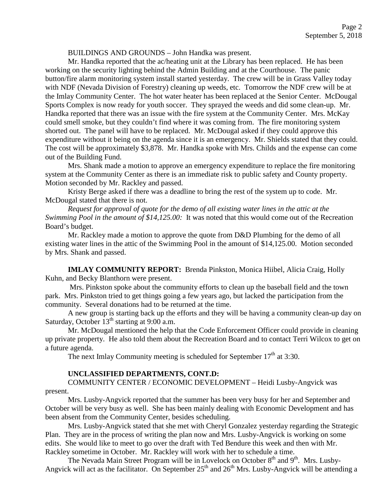BUILDINGS AND GROUNDS – John Handka was present.

Mr. Handka reported that the ac/heating unit at the Library has been replaced. He has been working on the security lighting behind the Admin Building and at the Courthouse. The panic button/fire alarm monitoring system install started yesterday. The crew will be in Grass Valley today with NDF (Nevada Division of Forestry) cleaning up weeds, etc. Tomorrow the NDF crew will be at the Imlay Community Center. The hot water heater has been replaced at the Senior Center. McDougal Sports Complex is now ready for youth soccer. They sprayed the weeds and did some clean-up. Mr. Handka reported that there was an issue with the fire system at the Community Center. Mrs. McKay could smell smoke, but they couldn't find where it was coming from. The fire monitoring system shorted out. The panel will have to be replaced. Mr. McDougal asked if they could approve this expenditure without it being on the agenda since it is an emergency. Mr. Shields stated that they could. The cost will be approximately \$3,878. Mr. Handka spoke with Mrs. Childs and the expense can come out of the Building Fund.

Mrs. Shank made a motion to approve an emergency expenditure to replace the fire monitoring system at the Community Center as there is an immediate risk to public safety and County property. Motion seconded by Mr. Rackley and passed.

Kristy Berge asked if there was a deadline to bring the rest of the system up to code. Mr. McDougal stated that there is not.

*Request for approval of quote for the demo of all existing water lines in the attic at the Swimming Pool in the amount of \$14,125.00:* It was noted that this would come out of the Recreation Board's budget.

Mr. Rackley made a motion to approve the quote from D&D Plumbing for the demo of all existing water lines in the attic of the Swimming Pool in the amount of \$14,125.00. Motion seconded by Mrs. Shank and passed.

**IMLAY COMMUNITY REPORT:** Brenda Pinkston, Monica Hiibel, Alicia Craig, Holly Kuhn, and Becky Blanthorn were present.

Mrs. Pinkston spoke about the community efforts to clean up the baseball field and the town park. Mrs. Pinkston tried to get things going a few years ago, but lacked the participation from the community. Several donations had to be returned at the time.

A new group is starting back up the efforts and they will be having a community clean-up day on Saturday, October  $13<sup>th</sup>$  starting at 9:00 a.m.

Mr. McDougal mentioned the help that the Code Enforcement Officer could provide in cleaning up private property. He also told them about the Recreation Board and to contact Terri Wilcox to get on a future agenda.

The next Imlay Community meeting is scheduled for September  $17<sup>th</sup>$  at 3:30.

# **UNCLASSIFIED DEPARTMENTS, CONT.D:**

COMMUNITY CENTER / ECONOMIC DEVELOPMENT – Heidi Lusby-Angvick was present.

Mrs. Lusby-Angvick reported that the summer has been very busy for her and September and October will be very busy as well. She has been mainly dealing with Economic Development and has been absent from the Community Center, besides scheduling.

Mrs. Lusby-Angvick stated that she met with Cheryl Gonzalez yesterday regarding the Strategic Plan. They are in the process of writing the plan now and Mrs. Lusby-Angvick is working on some edits. She would like to meet to go over the draft with Ted Bendure this week and then with Mr. Rackley sometime in October. Mr. Rackley will work with her to schedule a time.

The Nevada Main Street Program will be in Lovelock on October 8<sup>th</sup> and 9<sup>th</sup>. Mrs. Lusby-Angvick will act as the facilitator. On September 25<sup>th</sup> and 26<sup>th</sup> Mrs. Lusby-Angvick will be attending a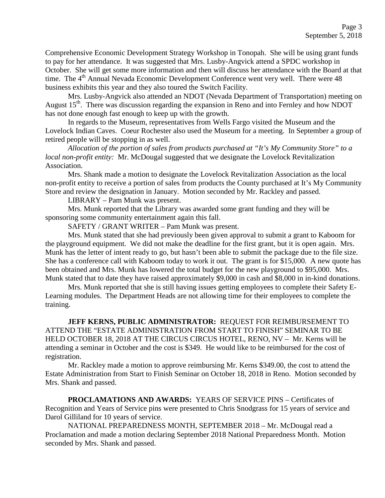Comprehensive Economic Development Strategy Workshop in Tonopah. She will be using grant funds to pay for her attendance. It was suggested that Mrs. Lusby-Angvick attend a SPDC workshop in October. She will get some more information and then will discuss her attendance with the Board at that time. The  $4<sup>th</sup>$  Annual Nevada Economic Development Conference went very well. There were 48 business exhibits this year and they also toured the Switch Facility.

Mrs. Lusby-Angvick also attended an NDOT (Nevada Department of Transportation) meeting on August  $15<sup>th</sup>$ . There was discussion regarding the expansion in Reno and into Fernley and how NDOT has not done enough fast enough to keep up with the growth.

In regards to the Museum, representatives from Wells Fargo visited the Museum and the Lovelock Indian Caves. Coeur Rochester also used the Museum for a meeting. In September a group of retired people will be stopping in as well.

*Allocation of the portion of sales from products purchased at "It's My Community Store" to a local non-profit entity:* Mr. McDougal suggested that we designate the Lovelock Revitalization Association.

Mrs. Shank made a motion to designate the Lovelock Revitalization Association as the local non-profit entity to receive a portion of sales from products the County purchased at It's My Community Store and review the designation in January. Motion seconded by Mr. Rackley and passed.

LIBRARY – Pam Munk was present.

Mrs. Munk reported that the Library was awarded some grant funding and they will be sponsoring some community entertainment again this fall.

SAFETY / GRANT WRITER – Pam Munk was present.

Mrs. Munk stated that she had previously been given approval to submit a grant to Kaboom for the playground equipment. We did not make the deadline for the first grant, but it is open again. Mrs. Munk has the letter of intent ready to go, but hasn't been able to submit the package due to the file size. She has a conference call with Kaboom today to work it out. The grant is for \$15,000. A new quote has been obtained and Mrs. Munk has lowered the total budget for the new playground to \$95,000. Mrs. Munk stated that to date they have raised approximately \$9,000 in cash and \$8,000 in in-kind donations.

Mrs. Munk reported that she is still having issues getting employees to complete their Safety E-Learning modules. The Department Heads are not allowing time for their employees to complete the training.

**JEFF KERNS, PUBLIC ADMINISTRATOR:** REQUEST FOR REIMBURSEMENT TO ATTEND THE "ESTATE ADMINISTRATION FROM START TO FINISH" SEMINAR TO BE HELD OCTOBER 18, 2018 AT THE CIRCUS CIRCUS HOTEL, RENO, NV – Mr. Kerns will be attending a seminar in October and the cost is \$349. He would like to be reimbursed for the cost of registration.

Mr. Rackley made a motion to approve reimbursing Mr. Kerns \$349.00, the cost to attend the Estate Administration from Start to Finish Seminar on October 18, 2018 in Reno. Motion seconded by Mrs. Shank and passed.

**PROCLAMATIONS AND AWARDS:** YEARS OF SERVICE PINS – Certificates of Recognition and Years of Service pins were presented to Chris Snodgrass for 15 years of service and Darol Gilliland for 10 years of service.

NATIONAL PREPAREDNESS MONTH, SEPTEMBER 2018 – Mr. McDougal read a Proclamation and made a motion declaring September 2018 National Preparedness Month. Motion seconded by Mrs. Shank and passed.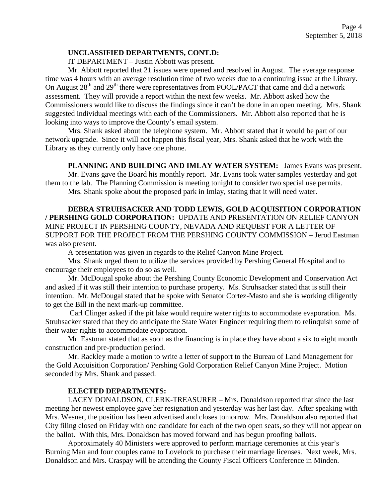### **UNCLASSIFIED DEPARTMENTS, CONT.D:**

IT DEPARTMENT – Justin Abbott was present.

Mr. Abbott reported that 21 issues were opened and resolved in August. The average response time was 4 hours with an average resolution time of two weeks due to a continuing issue at the Library. On August  $28<sup>th</sup>$  and  $29<sup>th</sup>$  there were representatives from POOL/PACT that came and did a network assessment. They will provide a report within the next few weeks. Mr. Abbott asked how the Commissioners would like to discuss the findings since it can't be done in an open meeting. Mrs. Shank suggested individual meetings with each of the Commissioners. Mr. Abbott also reported that he is looking into ways to improve the County's email system.

Mrs. Shank asked about the telephone system. Mr. Abbott stated that it would be part of our network upgrade. Since it will not happen this fiscal year, Mrs. Shank asked that he work with the Library as they currently only have one phone.

**PLANNING AND BUILDING AND IMLAY WATER SYSTEM:** James Evans was present. Mr. Evans gave the Board his monthly report. Mr. Evans took water samples yesterday and got them to the lab. The Planning Commission is meeting tonight to consider two special use permits.

Mrs. Shank spoke about the proposed park in Imlay, stating that it will need water.

**DEBRA STRUHSACKER AND TODD LEWIS, GOLD ACQUISITION CORPORATION / PERSHING GOLD CORPORATION:** UPDATE AND PRESENTATION ON RELIEF CANYON MINE PROJECT IN PERSHING COUNTY, NEVADA AND REQUEST FOR A LETTER OF SUPPORT FOR THE PROJECT FROM THE PERSHING COUNTY COMMISSION – Jerod Eastman was also present.

A presentation was given in regards to the Relief Canyon Mine Project.

Mrs. Shank urged them to utilize the services provided by Pershing General Hospital and to encourage their employees to do so as well.

Mr. McDougal spoke about the Pershing County Economic Development and Conservation Act and asked if it was still their intention to purchase property. Ms. Struhsacker stated that is still their intention. Mr. McDougal stated that he spoke with Senator Cortez-Masto and she is working diligently to get the Bill in the next mark-up committee.

Carl Clinger asked if the pit lake would require water rights to accommodate evaporation. Ms. Struhsacker stated that they do anticipate the State Water Engineer requiring them to relinquish some of their water rights to accommodate evaporation.

Mr. Eastman stated that as soon as the financing is in place they have about a six to eight month construction and pre-production period.

Mr. Rackley made a motion to write a letter of support to the Bureau of Land Management for the Gold Acquisition Corporation/ Pershing Gold Corporation Relief Canyon Mine Project. Motion seconded by Mrs. Shank and passed.

# **ELECTED DEPARTMENTS:**

LACEY DONALDSON, CLERK-TREASURER – Mrs. Donaldson reported that since the last meeting her newest employee gave her resignation and yesterday was her last day. After speaking with Mrs. Wesner, the position has been advertised and closes tomorrow. Mrs. Donaldson also reported that City filing closed on Friday with one candidate for each of the two open seats, so they will not appear on the ballot. With this, Mrs. Donaldson has moved forward and has begun proofing ballots.

Approximately 40 Ministers were approved to perform marriage ceremonies at this year's Burning Man and four couples came to Lovelock to purchase their marriage licenses. Next week, Mrs. Donaldson and Mrs. Craspay will be attending the County Fiscal Officers Conference in Minden.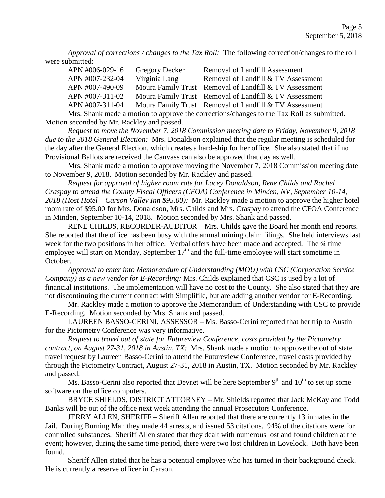*Approval of corrections / changes to the Tax Roll:* The following correction/changes to the roll were submitted:

| APN #006-029-16                                                                                | <b>Gregory Decker</b> | Removal of Landfill Assessment                         |
|------------------------------------------------------------------------------------------------|-----------------------|--------------------------------------------------------|
| APN #007-232-04                                                                                | Virginia Lang         | Removal of Landfill & TV Assessment                    |
| APN #007-490-09                                                                                |                       | Moura Family Trust Removal of Landfill & TV Assessment |
| APN #007-311-02                                                                                |                       | Moura Family Trust Removal of Landfill & TV Assessment |
| APN #007-311-04                                                                                |                       | Moura Family Trust Removal of Landfill & TV Assessment |
| M <sub>rs</sub> Charly made a mation to environ the correctional hanges to the Tex Dell equip- |                       |                                                        |

Mrs. Shank made a motion to approve the corrections/changes to the Tax Roll as submitted. Motion seconded by Mr. Rackley and passed.

*Request to move the November 7, 2018 Commission meeting date to Friday, November 9, 2018 due to the 2018 General Election:* Mrs. Donaldson explained that the regular meeting is scheduled for the day after the General Election, which creates a hard-ship for her office. She also stated that if no Provisional Ballots are received the Canvass can also be approved that day as well.

Mrs. Shank made a motion to approve moving the November 7, 2018 Commission meeting date to November 9, 2018. Motion seconded by Mr. Rackley and passed.

*Request for approval of higher room rate for Lacey Donaldson, Rene Childs and Rachel Craspay to attend the County Fiscal Officers (CFOA) Conference in Minden, NV, September 10-14, 2018 (Host Hotel – Carson Valley Inn \$95.00):* Mr. Rackley made a motion to approve the higher hotel room rate of \$95.00 for Mrs. Donaldson, Mrs. Childs and Mrs. Craspay to attend the CFOA Conference in Minden, September 10-14, 2018. Motion seconded by Mrs. Shank and passed.

RENE CHILDS, RECORDER-AUDITOR – Mrs. Childs gave the Board her month end reports. She reported that the office has been busy with the annual mining claim filings. She held interviews last week for the two positions in her office. Verbal offers have been made and accepted. The  $\frac{3}{4}$  time employee will start on Monday, September  $17<sup>th</sup>$  and the full-time employee will start sometime in October.

*Approval to enter into Memorandum of Understanding (MOU) with CSC (Corporation Service Company) as a new vendor for E-Recording:* Mrs. Childs explained that CSC is used by a lot of financial institutions. The implementation will have no cost to the County. She also stated that they are not discontinuing the current contract with Simplifile, but are adding another vendor for E-Recording.

Mr. Rackley made a motion to approve the Memorandum of Understanding with CSC to provide E-Recording. Motion seconded by Mrs. Shank and passed.

LAUREEN BASSO-CERINI, ASSESSOR – Ms. Basso-Cerini reported that her trip to Austin for the Pictometry Conference was very informative.

*Request to travel out of state for Futureview Conference, costs provided by the Pictometry contract, on August 27-31, 2018 in Austin, TX:* Mrs. Shank made a motion to approve the out of state travel request by Laureen Basso-Cerini to attend the Futureview Conference, travel costs provided by through the Pictometry Contract, August 27-31, 2018 in Austin, TX. Motion seconded by Mr. Rackley and passed.

Ms. Basso-Cerini also reported that Devnet will be here September  $9<sup>th</sup>$  and  $10<sup>th</sup>$  to set up some software on the office computers.

BRYCE SHIELDS, DISTRICT ATTORNEY – Mr. Shields reported that Jack McKay and Todd Banks will be out of the office next week attending the annual Prosecutors Conference.

JERRY ALLEN, SHERIFF – Sheriff Allen reported that there are currently 13 inmates in the Jail. During Burning Man they made 44 arrests, and issued 53 citations. 94% of the citations were for controlled substances. Sheriff Allen stated that they dealt with numerous lost and found children at the event; however, during the same time period, there were two lost children in Lovelock. Both have been found.

Sheriff Allen stated that he has a potential employee who has turned in their background check. He is currently a reserve officer in Carson.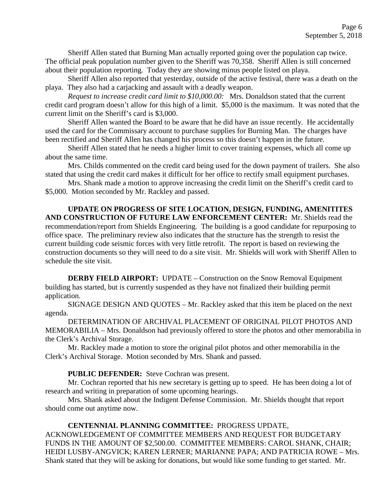Sheriff Allen stated that Burning Man actually reported going over the population cap twice. The official peak population number given to the Sheriff was 70,358. Sheriff Allen is still concerned about their population reporting. Today they are showing minus people listed on playa.

Sheriff Allen also reported that yesterday, outside of the active festival, there was a death on the playa. They also had a carjacking and assault with a deadly weapon.

*Request to increase credit card limit to \$10,000.00:* Mrs. Donaldson stated that the current credit card program doesn't allow for this high of a limit. \$5,000 is the maximum. It was noted that the current limit on the Sheriff's card is \$3,000.

Sheriff Allen wanted the Board to be aware that he did have an issue recently. He accidentally used the card for the Commissary account to purchase supplies for Burning Man. The charges have been rectified and Sheriff Allen has changed his process so this doesn't happen in the future.

Sheriff Allen stated that he needs a higher limit to cover training expenses, which all come up about the same time.

Mrs. Childs commented on the credit card being used for the down payment of trailers. She also stated that using the credit card makes it difficult for her office to rectify small equipment purchases.

Mrs. Shank made a motion to approve increasing the credit limit on the Sheriff's credit card to \$5,000. Motion seconded by Mr. Rackley and passed.

**UPDATE ON PROGRESS OF SITE LOCATION, DESIGN, FUNDING, AMENITITES AND CONSTRUCTION OF FUTURE LAW ENFORCEMENT CENTER:** Mr. Shields read the recommendation/report from Shields Engineering. The building is a good candidate for repurposing to office space. The preliminary review also indicates that the structure has the strength to resist the current building code seismic forces with very little retrofit. The report is based on reviewing the construction documents so they will need to do a site visit. Mr. Shields will work with Sheriff Allen to schedule the site visit.

**DERBY FIELD AIRPORT:** UPDATE – Construction on the Snow Removal Equipment building has started, but is currently suspended as they have not finalized their building permit application.

SIGNAGE DESIGN AND QUOTES – Mr. Rackley asked that this item be placed on the next agenda.

DETERMINATION OF ARCHIVAL PLACEMENT OF ORIGINAL PILOT PHOTOS AND MEMORABILIA – Mrs. Donaldson had previously offered to store the photos and other memorabilia in the Clerk's Archival Storage.

Mr. Rackley made a motion to store the original pilot photos and other memorabilia in the Clerk's Archival Storage. Motion seconded by Mrs. Shank and passed.

**PUBLIC DEFENDER:** Steve Cochran was present.

Mr. Cochran reported that his new secretary is getting up to speed. He has been doing a lot of research and writing in preparation of some upcoming hearings.

Mrs. Shank asked about the Indigent Defense Commission. Mr. Shields thought that report should come out anytime now.

# **CENTENNIAL PLANNING COMMITTEE:** PROGRESS UPDATE,

ACKNOWLEDGEMENT OF COMMITTEE MEMBERS AND REQUEST FOR BUDGETARY FUNDS IN THE AMOUNT OF \$2,500.00. COMMITTEE MEMBERS: CAROL SHANK, CHAIR; HEIDI LUSBY-ANGVICK; KAREN LERNER; MARIANNE PAPA; AND PATRICIA ROWE – Mrs. Shank stated that they will be asking for donations, but would like some funding to get started. Mr.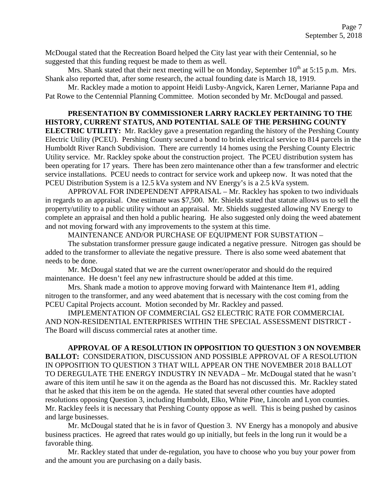McDougal stated that the Recreation Board helped the City last year with their Centennial, so he suggested that this funding request be made to them as well.

Mrs. Shank stated that their next meeting will be on Monday, September  $10^{th}$  at 5:15 p.m. Mrs. Shank also reported that, after some research, the actual founding date is March 18, 1919.

Mr. Rackley made a motion to appoint Heidi Lusby-Angvick, Karen Lerner, Marianne Papa and Pat Rowe to the Centennial Planning Committee. Motion seconded by Mr. McDougal and passed.

# **PRESENTATION BY COMMISSIONER LARRY RACKLEY PERTAINING TO THE HISTORY, CURRENT STATUS, AND POTENTIAL SALE OF THE PERSHING COUNTY**

**ELECTRIC UTILITY:** Mr. Rackley gave a presentation regarding the history of the Pershing County Electric Utility (PCEU). Pershing County secured a bond to brink electrical service to 814 parcels in the Humboldt River Ranch Subdivision. There are currently 14 homes using the Pershing County Electric Utility service. Mr. Rackley spoke about the construction project. The PCEU distribution system has been operating for 17 years. There has been zero maintenance other than a few transformer and electric service installations. PCEU needs to contract for service work and upkeep now. It was noted that the PCEU Distribution System is a 12.5 kVa system and NV Energy's is a 2.5 kVa system.

APPROVAL FOR INDEPENDENT APPRAISAL – Mr. Rackley has spoken to two individuals in regards to an appraisal. One estimate was \$7,500. Mr. Shields stated that statute allows us to sell the property/utility to a public utility without an appraisal. Mr. Shields suggested allowing NV Energy to complete an appraisal and then hold a public hearing. He also suggested only doing the weed abatement and not moving forward with any improvements to the system at this time.

MAINTENANCE AND/OR PURCHASE OF EQUIPMENT FOR SUBSTATION –

The substation transformer pressure gauge indicated a negative pressure. Nitrogen gas should be added to the transformer to alleviate the negative pressure. There is also some weed abatement that needs to be done.

Mr. McDougal stated that we are the current owner/operator and should do the required maintenance. He doesn't feel any new infrastructure should be added at this time.

Mrs. Shank made a motion to approve moving forward with Maintenance Item #1, adding nitrogen to the transformer, and any weed abatement that is necessary with the cost coming from the PCEU Capital Projects account. Motion seconded by Mr. Rackley and passed.

IMPLEMENTATION OF COMMERCIAL GS2 ELECTRIC RATE FOR COMMERCIAL AND NON-RESIDENTIAL ENTERPRISES WITHIN THE SPECIAL ASSESSMENT DISTRICT - The Board will discuss commercial rates at another time.

**APPROVAL OF A RESOLUTION IN OPPOSITION TO QUESTION 3 ON NOVEMBER BALLOT:** CONSIDERATION, DISCUSSION AND POSSIBLE APPROVAL OF A RESOLUTION IN OPPOSITION TO QUESTION 3 THAT WILL APPEAR ON THE NOVEMBER 2018 BALLOT TO DEREGULATE THE ENERGY INDUSTRY IN NEVADA – Mr. McDougal stated that he wasn't aware of this item until he saw it on the agenda as the Board has not discussed this. Mr. Rackley stated that he asked that this item be on the agenda. He stated that several other counties have adopted resolutions opposing Question 3, including Humboldt, Elko, White Pine, Lincoln and Lyon counties. Mr. Rackley feels it is necessary that Pershing County oppose as well. This is being pushed by casinos and large businesses.

Mr. McDougal stated that he is in favor of Question 3. NV Energy has a monopoly and abusive business practices. He agreed that rates would go up initially, but feels in the long run it would be a favorable thing.

Mr. Rackley stated that under de-regulation, you have to choose who you buy your power from and the amount you are purchasing on a daily basis.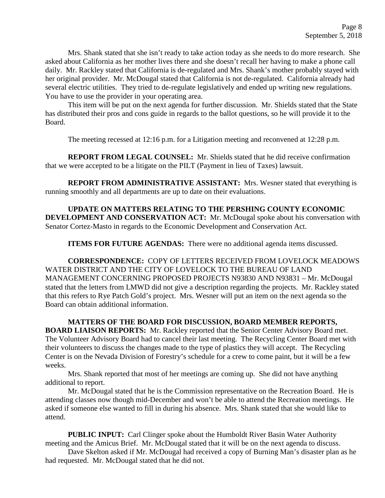Mrs. Shank stated that she isn't ready to take action today as she needs to do more research. She asked about California as her mother lives there and she doesn't recall her having to make a phone call daily. Mr. Rackley stated that California is de-regulated and Mrs. Shank's mother probably stayed with her original provider. Mr. McDougal stated that California is not de-regulated. California already had several electric utilities. They tried to de-regulate legislatively and ended up writing new regulations. You have to use the provider in your operating area.

This item will be put on the next agenda for further discussion. Mr. Shields stated that the State has distributed their pros and cons guide in regards to the ballot questions, so he will provide it to the Board.

The meeting recessed at 12:16 p.m. for a Litigation meeting and reconvened at 12:28 p.m.

**REPORT FROM LEGAL COUNSEL:** Mr. Shields stated that he did receive confirmation that we were accepted to be a litigate on the PILT (Payment in lieu of Taxes) lawsuit.

**REPORT FROM ADMINISTRATIVE ASSISTANT:** Mrs. Wesner stated that everything is running smoothly and all departments are up to date on their evaluations.

**UPDATE ON MATTERS RELATING TO THE PERSHING COUNTY ECONOMIC DEVELOPMENT AND CONSERVATION ACT:** Mr. McDougal spoke about his conversation with Senator Cortez-Masto in regards to the Economic Development and Conservation Act.

**ITEMS FOR FUTURE AGENDAS:** There were no additional agenda items discussed.

**CORRESPONDENCE:** COPY OF LETTERS RECEIVED FROM LOVELOCK MEADOWS WATER DISTRICT AND THE CITY OF LOVELOCK TO THE BUREAU OF LAND MANAGEMENT CONCERNING PROPOSED PROJECTS N93830 AND N93831 – Mr. McDougal stated that the letters from LMWD did not give a description regarding the projects. Mr. Rackley stated that this refers to Rye Patch Gold's project. Mrs. Wesner will put an item on the next agenda so the Board can obtain additional information.

**MATTERS OF THE BOARD FOR DISCUSSION, BOARD MEMBER REPORTS, BOARD LIAISON REPORTS:** Mr. Rackley reported that the Senior Center Advisory Board met. The Volunteer Advisory Board had to cancel their last meeting. The Recycling Center Board met with their volunteers to discuss the changes made to the type of plastics they will accept. The Recycling Center is on the Nevada Division of Forestry's schedule for a crew to come paint, but it will be a few weeks.

Mrs. Shank reported that most of her meetings are coming up. She did not have anything additional to report.

Mr. McDougal stated that he is the Commission representative on the Recreation Board. He is attending classes now though mid-December and won't be able to attend the Recreation meetings. He asked if someone else wanted to fill in during his absence. Mrs. Shank stated that she would like to attend.

**PUBLIC INPUT:** Carl Clinger spoke about the Humboldt River Basin Water Authority meeting and the Amicus Brief. Mr. McDougal stated that it will be on the next agenda to discuss.

Dave Skelton asked if Mr. McDougal had received a copy of Burning Man's disaster plan as he had requested. Mr. McDougal stated that he did not.